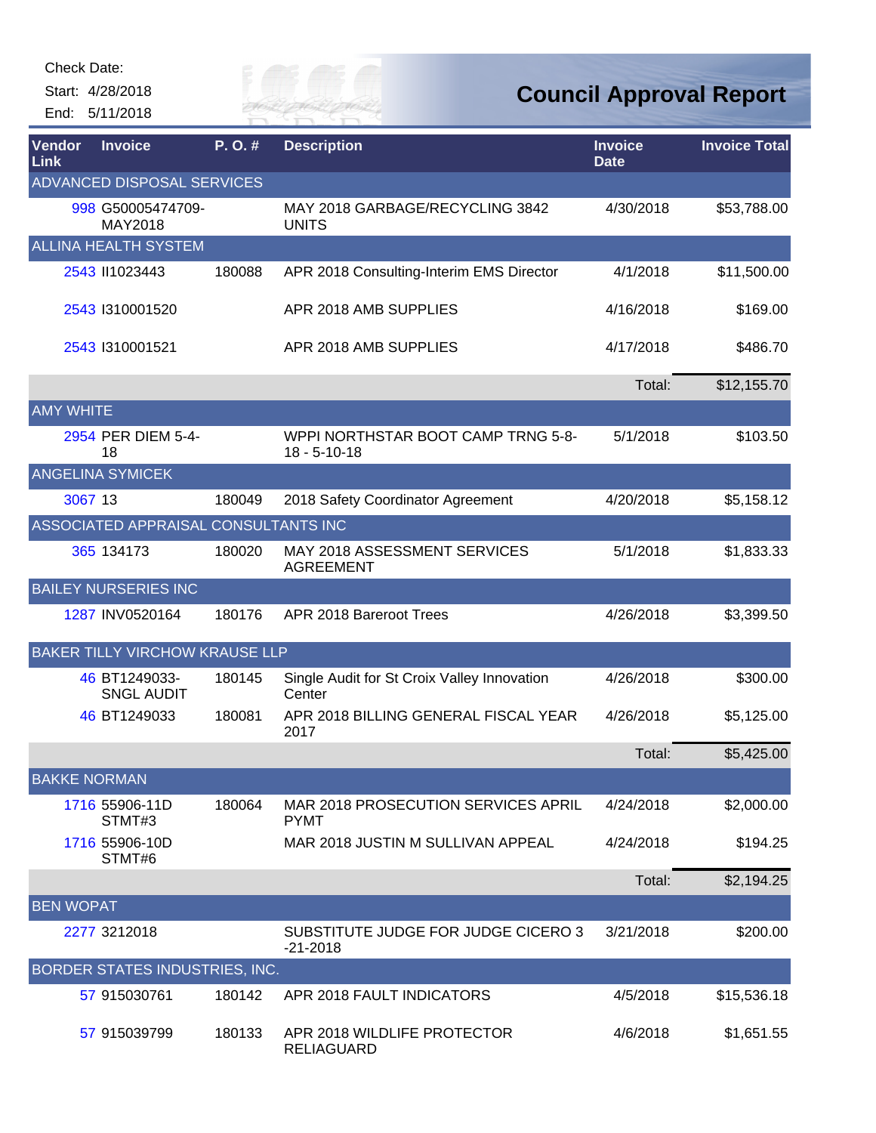Start: 4/28/2018 End: 5/11/2018



**Council Approval Report**

| Vendor<br>Link      | <b>Invoice</b>                        | P.O.#  | <b>Description</b>                                       | <b>Invoice</b><br><b>Date</b> | <b>Invoice Total</b> |
|---------------------|---------------------------------------|--------|----------------------------------------------------------|-------------------------------|----------------------|
|                     | <b>ADVANCED DISPOSAL SERVICES</b>     |        |                                                          |                               |                      |
|                     | 998 G50005474709-<br>MAY2018          |        | MAY 2018 GARBAGE/RECYCLING 3842<br><b>UNITS</b>          | 4/30/2018                     | \$53,788.00          |
|                     | <b>ALLINA HEALTH SYSTEM</b>           |        |                                                          |                               |                      |
|                     | 2543 II1023443                        | 180088 | APR 2018 Consulting-Interim EMS Director                 | 4/1/2018                      | \$11,500.00          |
|                     | 2543 1310001520                       |        | APR 2018 AMB SUPPLIES                                    | 4/16/2018                     | \$169.00             |
|                     | 2543 1310001521                       |        | APR 2018 AMB SUPPLIES                                    | 4/17/2018                     | \$486.70             |
|                     |                                       |        |                                                          | Total:                        | \$12,155.70          |
| <b>AMY WHITE</b>    |                                       |        |                                                          |                               |                      |
|                     | 2954 PER DIEM 5-4-<br>18              |        | WPPI NORTHSTAR BOOT CAMP TRNG 5-8-<br>$18 - 5 - 10 - 18$ | 5/1/2018                      | \$103.50             |
|                     | <b>ANGELINA SYMICEK</b>               |        |                                                          |                               |                      |
| 3067 13             |                                       | 180049 | 2018 Safety Coordinator Agreement                        | 4/20/2018                     | \$5,158.12           |
|                     | ASSOCIATED APPRAISAL CONSULTANTS INC  |        |                                                          |                               |                      |
|                     | 365 134173                            | 180020 | MAY 2018 ASSESSMENT SERVICES<br><b>AGREEMENT</b>         | 5/1/2018                      | \$1,833.33           |
|                     | <b>BAILEY NURSERIES INC</b>           |        |                                                          |                               |                      |
|                     | 1287 INV0520164                       | 180176 | APR 2018 Bareroot Trees                                  | 4/26/2018                     | \$3,399.50           |
|                     | <b>BAKER TILLY VIRCHOW KRAUSE LLP</b> |        |                                                          |                               |                      |
|                     | 46 BT1249033-<br><b>SNGL AUDIT</b>    | 180145 | Single Audit for St Croix Valley Innovation<br>Center    | 4/26/2018                     | \$300.00             |
|                     | 46 BT1249033                          | 180081 | APR 2018 BILLING GENERAL FISCAL YEAR<br>2017             | 4/26/2018                     | \$5,125.00           |
|                     |                                       |        |                                                          | Total:                        | \$5,425.00           |
| <b>BAKKE NORMAN</b> |                                       |        |                                                          |                               |                      |
|                     | 1716 55906-11D<br>STMT#3              | 180064 | MAR 2018 PROSECUTION SERVICES APRIL<br><b>PYMT</b>       | 4/24/2018                     | \$2,000.00           |
|                     | 1716 55906-10D<br>STMT#6              |        | MAR 2018 JUSTIN M SULLIVAN APPEAL                        | 4/24/2018                     | \$194.25             |
|                     |                                       |        |                                                          | Total:                        | \$2,194.25           |
| <b>BEN WOPAT</b>    |                                       |        |                                                          |                               |                      |
|                     | 2277 3212018                          |        | SUBSTITUTE JUDGE FOR JUDGE CICERO 3<br>$-21 - 2018$      | 3/21/2018                     | \$200.00             |
|                     | <b>BORDER STATES INDUSTRIES, INC.</b> |        |                                                          |                               |                      |
|                     | 57 915030761                          | 180142 | APR 2018 FAULT INDICATORS                                | 4/5/2018                      | \$15,536.18          |
|                     | 57 915039799                          | 180133 | APR 2018 WILDLIFE PROTECTOR<br><b>RELIAGUARD</b>         | 4/6/2018                      | \$1,651.55           |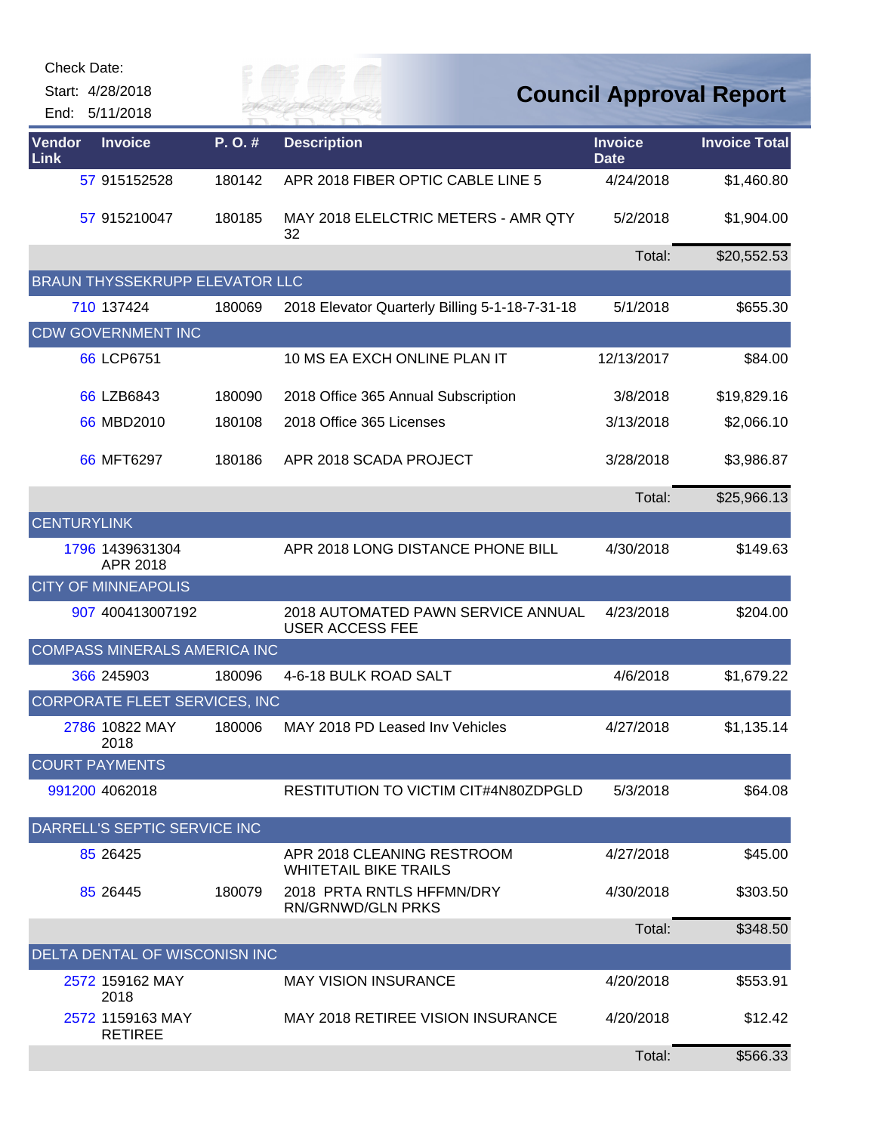| <b>Check Date:</b><br>Start: 4/28/2018<br>End: 5/11/2018 |        | FR MAI                                                       |                               | <b>Council Approval Report</b> |
|----------------------------------------------------------|--------|--------------------------------------------------------------|-------------------------------|--------------------------------|
| Vendor<br><b>Invoice</b><br>Link                         | P.O.#  | <b>Description</b>                                           | <b>Invoice</b><br><b>Date</b> | <b>Invoice Total</b>           |
| 57 915152528                                             | 180142 | APR 2018 FIBER OPTIC CABLE LINE 5                            | 4/24/2018                     | \$1,460.80                     |
| 57 915210047                                             | 180185 | MAY 2018 ELELCTRIC METERS - AMR QTY<br>32                    | 5/2/2018                      | \$1,904.00                     |
|                                                          |        |                                                              | Total:                        | \$20,552.53                    |
| <b>BRAUN THYSSEKRUPP ELEVATOR LLC</b>                    |        |                                                              |                               |                                |
| 710 137424                                               | 180069 | 2018 Elevator Quarterly Billing 5-1-18-7-31-18               | 5/1/2018                      | \$655.30                       |
| <b>CDW GOVERNMENT INC</b>                                |        |                                                              |                               |                                |
| 66 LCP6751                                               |        | 10 MS EA EXCH ONLINE PLAN IT                                 | 12/13/2017                    | \$84.00                        |
| 66 LZB6843                                               | 180090 | 2018 Office 365 Annual Subscription                          | 3/8/2018                      | \$19,829.16                    |
| 66 MBD2010                                               | 180108 | 2018 Office 365 Licenses                                     | 3/13/2018                     | \$2,066.10                     |
| 66 MFT6297                                               | 180186 | APR 2018 SCADA PROJECT                                       | 3/28/2018                     | \$3,986.87                     |
|                                                          |        |                                                              | Total:                        | \$25,966.13                    |
| <b>CENTURYLINK</b>                                       |        |                                                              |                               |                                |
| 1796 1439631304<br>APR 2018                              |        | APR 2018 LONG DISTANCE PHONE BILL                            | 4/30/2018                     | \$149.63                       |
| <b>CITY OF MINNEAPOLIS</b>                               |        |                                                              |                               |                                |
| 907 400413007192                                         |        | 2018 AUTOMATED PAWN SERVICE ANNUAL<br><b>USER ACCESS FEE</b> | 4/23/2018                     | \$204.00                       |
| COMPASS MINERALS AMERICA INC                             |        |                                                              |                               |                                |
| 366 245903                                               | 180096 | 4-6-18 BULK ROAD SALT                                        | 4/6/2018                      | \$1,679.22                     |
| CORPORATE FLEET SERVICES, INC                            |        |                                                              |                               |                                |
| 2786 10822 MAY<br>2018                                   | 180006 | MAY 2018 PD Leased Inv Vehicles                              | 4/27/2018                     | \$1,135.14                     |
| <b>COURT PAYMENTS</b>                                    |        |                                                              |                               |                                |
| 991200 4062018                                           |        | RESTITUTION TO VICTIM CIT#4N80ZDPGLD                         | 5/3/2018                      | \$64.08                        |
| DARRELL'S SEPTIC SERVICE INC                             |        |                                                              |                               |                                |
| 85 26425                                                 |        | APR 2018 CLEANING RESTROOM<br><b>WHITETAIL BIKE TRAILS</b>   | 4/27/2018                     | \$45.00                        |
| 85 26445                                                 | 180079 | 2018 PRTA RNTLS HFFMN/DRY<br><b>RN/GRNWD/GLN PRKS</b>        | 4/30/2018                     | \$303.50                       |
|                                                          |        |                                                              | Total:                        | \$348.50                       |
| DELTA DENTAL OF WISCONISN INC                            |        |                                                              |                               |                                |
| 2572 159162 MAY<br>2018                                  |        | <b>MAY VISION INSURANCE</b>                                  | 4/20/2018                     | \$553.91                       |
| 2572 1159163 MAY<br><b>RETIREE</b>                       |        | MAY 2018 RETIREE VISION INSURANCE                            | 4/20/2018                     | \$12.42                        |
|                                                          |        |                                                              | Total:                        | \$566.33                       |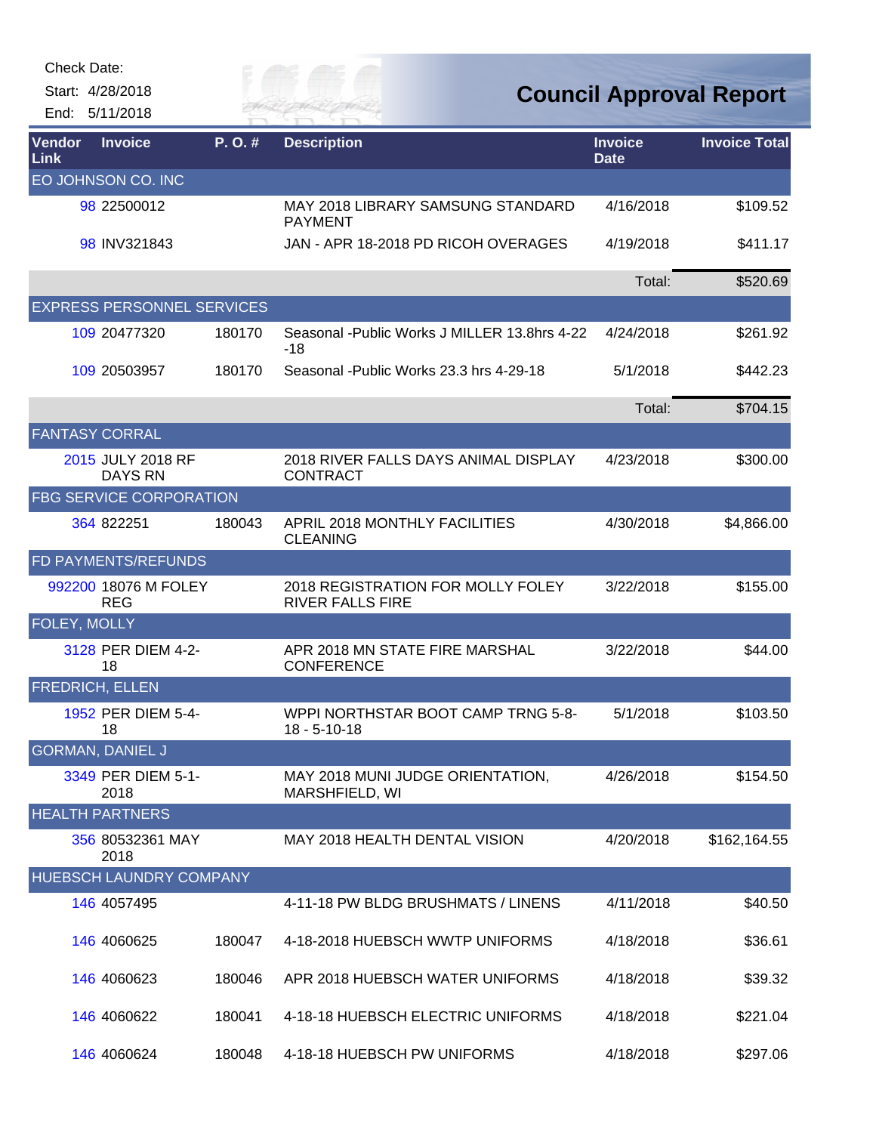Start: 4/28/2018

End: 5/11/2018

## *Cuy of*

## **Council Approval Report**

| Vendor<br>Link | <b>Invoice</b>                      | P. O. # | <b>Description</b>                                           | <b>Invoice</b><br><b>Date</b> | <b>Invoice Total</b> |
|----------------|-------------------------------------|---------|--------------------------------------------------------------|-------------------------------|----------------------|
|                | EO JOHNSON CO. INC                  |         |                                                              |                               |                      |
|                | 98 22500012                         |         | <b>MAY 2018 LIBRARY SAMSUNG STANDARD</b><br><b>PAYMENT</b>   | 4/16/2018                     | \$109.52             |
|                | 98 INV321843                        |         | JAN - APR 18-2018 PD RICOH OVERAGES                          | 4/19/2018                     | \$411.17             |
|                |                                     |         |                                                              | Total:                        | \$520.69             |
|                | <b>EXPRESS PERSONNEL SERVICES</b>   |         |                                                              |                               |                      |
|                | 109 20477320                        | 180170  | Seasonal - Public Works J MILLER 13.8hrs 4-22<br>$-18$       | 4/24/2018                     | \$261.92             |
|                | 109 20503957                        | 180170  | Seasonal - Public Works 23.3 hrs 4-29-18                     | 5/1/2018                      | \$442.23             |
|                |                                     |         |                                                              | Total:                        | \$704.15             |
|                | <b>FANTASY CORRAL</b>               |         |                                                              |                               |                      |
|                | 2015 JULY 2018 RF<br><b>DAYS RN</b> |         | 2018 RIVER FALLS DAYS ANIMAL DISPLAY<br><b>CONTRACT</b>      | 4/23/2018                     | \$300.00             |
|                | <b>FBG SERVICE CORPORATION</b>      |         |                                                              |                               |                      |
|                | 364 822251                          | 180043  | APRIL 2018 MONTHLY FACILITIES<br><b>CLEANING</b>             | 4/30/2018                     | \$4,866.00           |
|                | <b>FD PAYMENTS/REFUNDS</b>          |         |                                                              |                               |                      |
|                | 992200 18076 M FOLEY<br><b>REG</b>  |         | 2018 REGISTRATION FOR MOLLY FOLEY<br><b>RIVER FALLS FIRE</b> | 3/22/2018                     | \$155.00             |
| FOLEY, MOLLY   |                                     |         |                                                              |                               |                      |
|                | 3128 PER DIEM 4-2-<br>18            |         | APR 2018 MN STATE FIRE MARSHAL<br><b>CONFERENCE</b>          | 3/22/2018                     | \$44.00              |
|                | <b>FREDRICH, ELLEN</b>              |         |                                                              |                               |                      |
|                | 1952 PER DIEM 5-4-<br>18            |         | WPPI NORTHSTAR BOOT CAMP TRNG 5-8-<br>$18 - 5 - 10 - 18$     | 5/1/2018                      | \$103.50             |
|                | <b>GORMAN, DANIEL J</b>             |         |                                                              |                               |                      |
|                | 3349 PER DIEM 5-1-<br>2018          |         | MAY 2018 MUNI JUDGE ORIENTATION,<br>MARSHFIELD, WI           | 4/26/2018                     | \$154.50             |
|                | <b>HEALTH PARTNERS</b>              |         |                                                              |                               |                      |
|                | 356 80532361 MAY<br>2018            |         | MAY 2018 HEALTH DENTAL VISION                                | 4/20/2018                     | \$162,164.55         |
|                | <b>HUEBSCH LAUNDRY COMPANY</b>      |         |                                                              |                               |                      |
|                | 146 4057495                         |         | 4-11-18 PW BLDG BRUSHMATS / LINENS                           | 4/11/2018                     | \$40.50              |
|                | 146 4060625                         | 180047  | 4-18-2018 HUEBSCH WWTP UNIFORMS                              | 4/18/2018                     | \$36.61              |
|                | 146 4060623                         | 180046  | APR 2018 HUEBSCH WATER UNIFORMS                              | 4/18/2018                     | \$39.32              |
|                | 146 4060622                         | 180041  | 4-18-18 HUEBSCH ELECTRIC UNIFORMS                            | 4/18/2018                     | \$221.04             |
|                | 146 4060624                         | 180048  | 4-18-18 HUEBSCH PW UNIFORMS                                  | 4/18/2018                     | \$297.06             |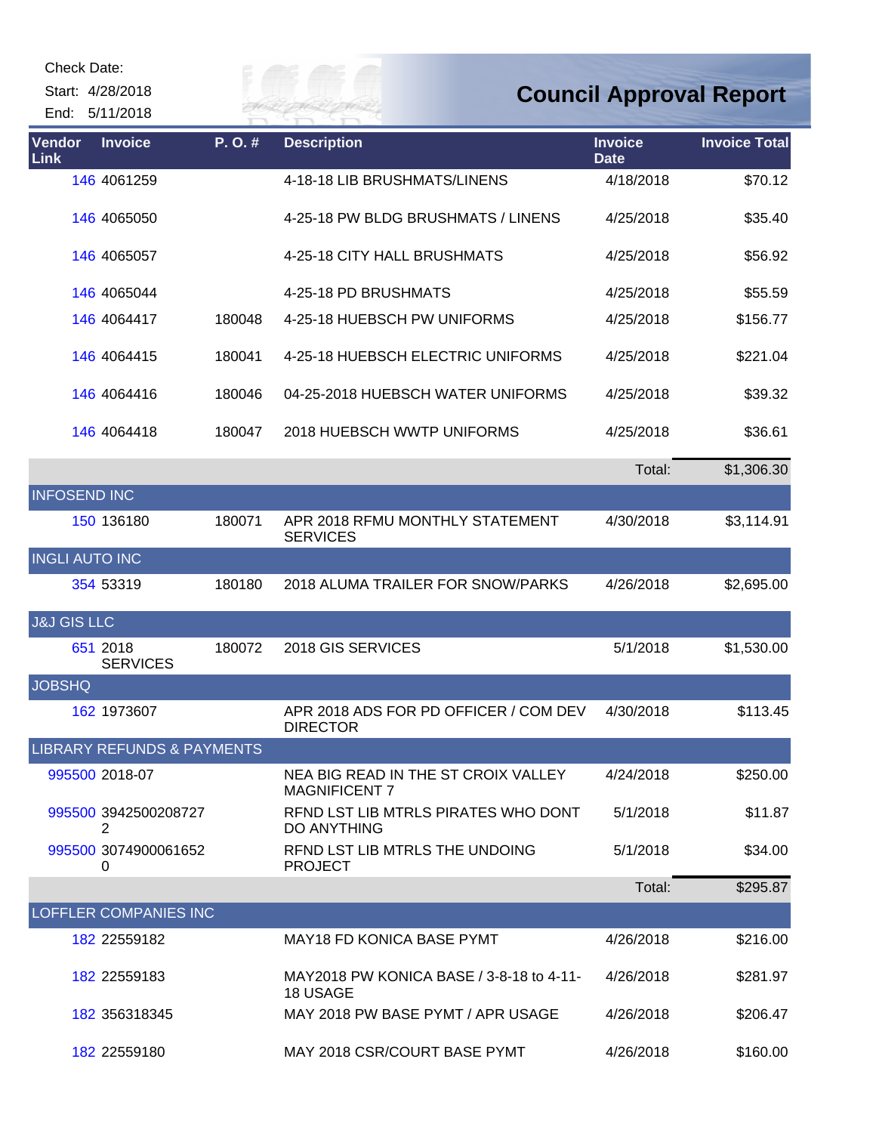Start: 4/28/2018 End: 5/11/2018 *Cuy of* 

## **Council Approval Report**

| Vendor<br><b>Link</b>  | <b>Invoice</b>                        | P.O.#  | <b>Description</b>                                          | <b>Invoice</b><br><b>Date</b> | <b>Invoice Total</b> |
|------------------------|---------------------------------------|--------|-------------------------------------------------------------|-------------------------------|----------------------|
|                        | 146 4061259                           |        | 4-18-18 LIB BRUSHMATS/LINENS                                | 4/18/2018                     | \$70.12              |
|                        | 146 4065050                           |        | 4-25-18 PW BLDG BRUSHMATS / LINENS                          | 4/25/2018                     | \$35.40              |
|                        | 146 4065057                           |        | 4-25-18 CITY HALL BRUSHMATS                                 | 4/25/2018                     | \$56.92              |
|                        | 146 4065044                           |        | 4-25-18 PD BRUSHMATS                                        | 4/25/2018                     | \$55.59              |
|                        | 146 4064417                           | 180048 | 4-25-18 HUEBSCH PW UNIFORMS                                 | 4/25/2018                     | \$156.77             |
|                        | 146 4064415                           | 180041 | 4-25-18 HUEBSCH ELECTRIC UNIFORMS                           | 4/25/2018                     | \$221.04             |
|                        | 146 4064416                           | 180046 | 04-25-2018 HUEBSCH WATER UNIFORMS                           | 4/25/2018                     | \$39.32              |
|                        | 146 4064418                           | 180047 | 2018 HUEBSCH WWTP UNIFORMS                                  | 4/25/2018                     | \$36.61              |
|                        |                                       |        |                                                             | Total:                        | \$1,306.30           |
| <b>INFOSEND INC</b>    |                                       |        |                                                             |                               |                      |
|                        | 150 136180                            | 180071 | APR 2018 RFMU MONTHLY STATEMENT<br><b>SERVICES</b>          | 4/30/2018                     | \$3,114.91           |
| <b>INGLI AUTO INC</b>  |                                       |        |                                                             |                               |                      |
|                        | 354 53319                             | 180180 | 2018 ALUMA TRAILER FOR SNOW/PARKS                           | 4/26/2018                     | \$2,695.00           |
| <b>J&amp;J GIS LLC</b> |                                       |        |                                                             |                               |                      |
|                        | 651 2018<br><b>SERVICES</b>           | 180072 | 2018 GIS SERVICES                                           | 5/1/2018                      | \$1,530.00           |
| <b>JOBSHQ</b>          |                                       |        |                                                             |                               |                      |
|                        | 162 1973607                           |        | APR 2018 ADS FOR PD OFFICER / COM DEV<br><b>DIRECTOR</b>    | 4/30/2018                     | \$113.45             |
|                        | <b>LIBRARY REFUNDS &amp; PAYMENTS</b> |        |                                                             |                               |                      |
|                        | 995500 2018-07                        |        | NEA BIG READ IN THE ST CROIX VALLEY<br><b>MAGNIFICENT 7</b> | 4/24/2018                     | \$250.00             |
|                        | 995500 3942500208727<br>2             |        | RFND LST LIB MTRLS PIRATES WHO DONT<br><b>DO ANYTHING</b>   | 5/1/2018                      | \$11.87              |
|                        | 995500 3074900061652<br>0             |        | RFND LST LIB MTRLS THE UNDOING<br><b>PROJECT</b>            | 5/1/2018                      | \$34.00              |
|                        |                                       |        |                                                             | Total:                        | \$295.87             |
|                        | <b>LOFFLER COMPANIES INC</b>          |        |                                                             |                               |                      |
|                        | 182 22559182                          |        | MAY18 FD KONICA BASE PYMT                                   | 4/26/2018                     | \$216.00             |
|                        | 182 22559183                          |        | MAY2018 PW KONICA BASE / 3-8-18 to 4-11-<br>18 USAGE        | 4/26/2018                     | \$281.97             |
|                        | 182 356318345                         |        | MAY 2018 PW BASE PYMT / APR USAGE                           | 4/26/2018                     | \$206.47             |
|                        | 182 22559180                          |        | MAY 2018 CSR/COURT BASE PYMT                                | 4/26/2018                     | \$160.00             |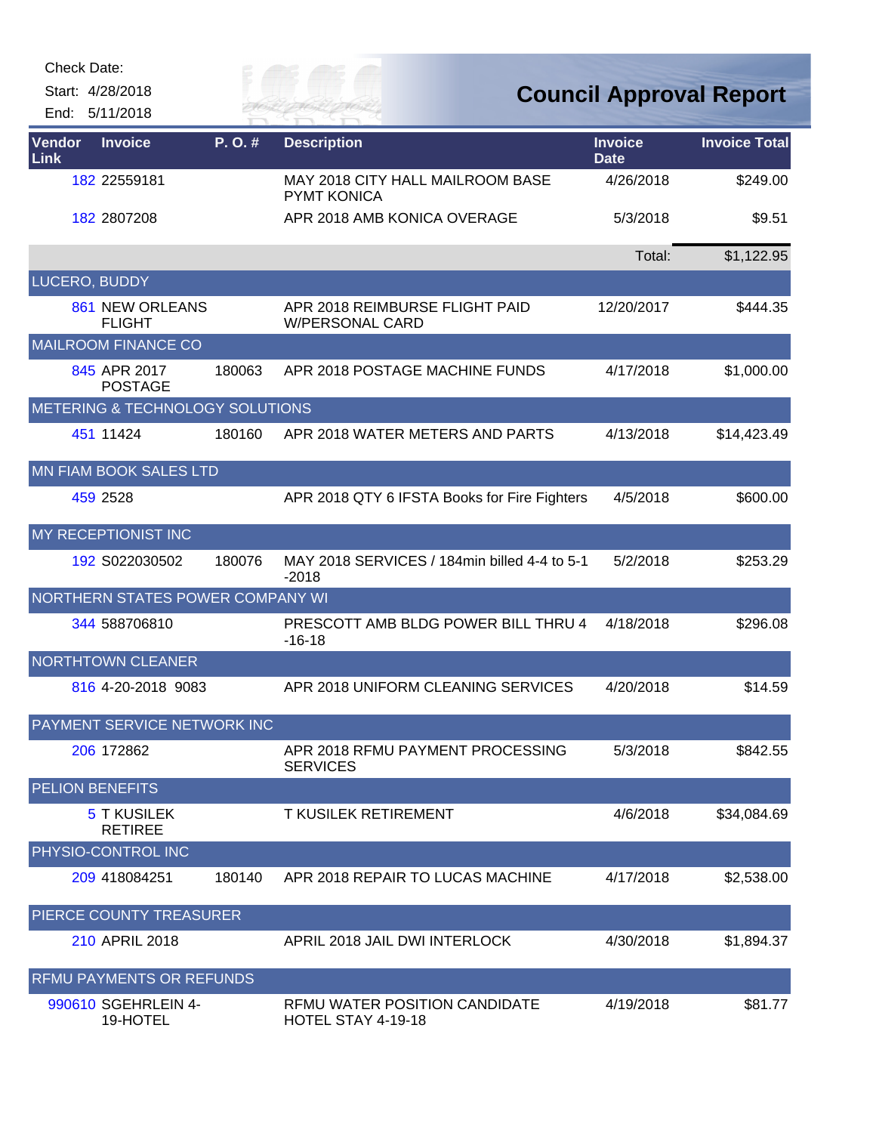Start: 4/28/2018 End: 5/11/2018



**Council Approval Report**

| <b>Vendor</b><br>Link | <b>Invoice</b>                       | P. O. # | <b>Description</b>                                      | <b>Invoice</b><br><b>Date</b> | <b>Invoice Total</b> |
|-----------------------|--------------------------------------|---------|---------------------------------------------------------|-------------------------------|----------------------|
|                       | 182 22559181                         |         | MAY 2018 CITY HALL MAILROOM BASE<br><b>PYMT KONICA</b>  | 4/26/2018                     | \$249.00             |
|                       | 182 2807208                          |         | APR 2018 AMB KONICA OVERAGE                             | 5/3/2018                      | \$9.51               |
|                       |                                      |         |                                                         | Total:                        | \$1,122.95           |
| LUCERO, BUDDY         |                                      |         |                                                         |                               |                      |
|                       | 861 NEW ORLEANS<br><b>FLIGHT</b>     |         | APR 2018 REIMBURSE FLIGHT PAID<br>W/PERSONAL CARD       | 12/20/2017                    | \$444.35             |
|                       | <b>MAILROOM FINANCE CO</b>           |         |                                                         |                               |                      |
|                       | 845 APR 2017<br><b>POSTAGE</b>       | 180063  | APR 2018 POSTAGE MACHINE FUNDS                          | 4/17/2018                     | \$1,000.00           |
|                       | METERING & TECHNOLOGY SOLUTIONS      |         |                                                         |                               |                      |
|                       | 451 11424                            | 180160  | APR 2018 WATER METERS AND PARTS                         | 4/13/2018                     | \$14,423.49          |
|                       | <b>MN FIAM BOOK SALES LTD</b>        |         |                                                         |                               |                      |
|                       | 459 2528                             |         | APR 2018 QTY 6 IFSTA Books for Fire Fighters            | 4/5/2018                      | \$600.00             |
|                       | MY RECEPTIONIST INC                  |         |                                                         |                               |                      |
|                       | 192 S022030502                       | 180076  | MAY 2018 SERVICES / 184min billed 4-4 to 5-1<br>$-2018$ | 5/2/2018                      | \$253.29             |
|                       | NORTHERN STATES POWER COMPANY WI     |         |                                                         |                               |                      |
|                       | 344 588706810                        |         | PRESCOTT AMB BLDG POWER BILL THRU 4<br>$-16-18$         | 4/18/2018                     | \$296.08             |
|                       | <b>NORTHTOWN CLEANER</b>             |         |                                                         |                               |                      |
|                       | 816 4-20-2018 9083                   |         | APR 2018 UNIFORM CLEANING SERVICES                      | 4/20/2018                     | \$14.59              |
|                       | PAYMENT SERVICE NETWORK INC          |         |                                                         |                               |                      |
|                       | 206 172862                           |         | APR 2018 RFMU PAYMENT PROCESSING<br><b>SERVICES</b>     | 5/3/2018                      | \$842.55             |
|                       | <b>PELION BENEFITS</b>               |         |                                                         |                               |                      |
|                       | <b>5 T KUSILEK</b><br><b>RETIREE</b> |         | <b>T KUSILEK RETIREMENT</b>                             | 4/6/2018                      | \$34,084.69          |
|                       | PHYSIO-CONTROL INC                   |         |                                                         |                               |                      |
|                       | 209 418084251                        | 180140  | APR 2018 REPAIR TO LUCAS MACHINE                        | 4/17/2018                     | \$2,538.00           |
|                       | PIERCE COUNTY TREASURER              |         |                                                         |                               |                      |
|                       | 210 APRIL 2018                       |         | APRIL 2018 JAIL DWI INTERLOCK                           | 4/30/2018                     | \$1,894.37           |
|                       | <b>RFMU PAYMENTS OR REFUNDS</b>      |         |                                                         |                               |                      |
|                       | 990610 SGEHRLEIN 4-<br>19-HOTEL      |         | RFMU WATER POSITION CANDIDATE<br>HOTEL STAY 4-19-18     | 4/19/2018                     | \$81.77              |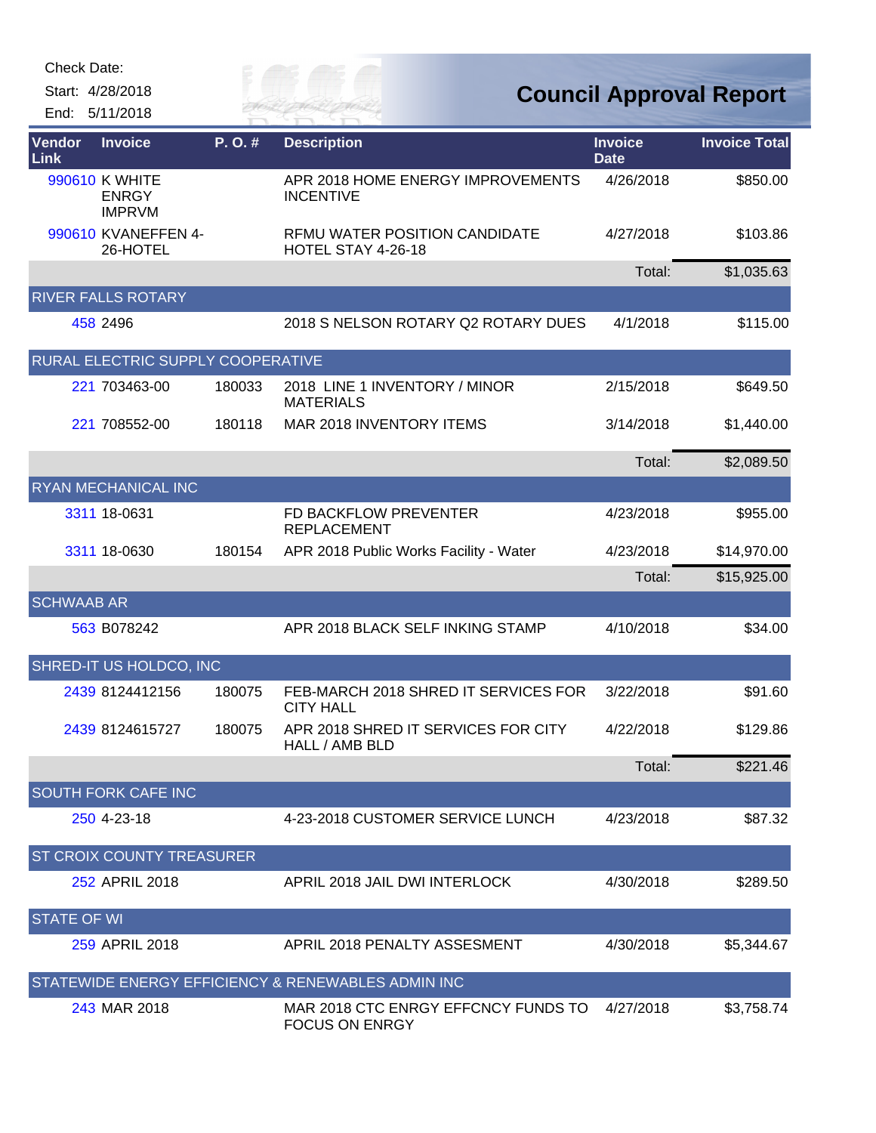Start: 4/28/2018

End: 5/11/2018

| <b>Vendor</b><br>Link | <b>Invoice</b>                                  | P.O.#  | <b>Description</b>                                           | <b>Invoice</b><br><b>Date</b> | <b>Invoice Total</b> |
|-----------------------|-------------------------------------------------|--------|--------------------------------------------------------------|-------------------------------|----------------------|
|                       | 990610 K WHITE<br><b>ENRGY</b><br><b>IMPRVM</b> |        | APR 2018 HOME ENERGY IMPROVEMENTS<br><b>INCENTIVE</b>        | 4/26/2018                     | \$850.00             |
|                       | 990610 KVANEFFEN 4-<br>26-HOTEL                 |        | <b>RFMU WATER POSITION CANDIDATE</b><br>HOTEL STAY 4-26-18   | 4/27/2018                     | \$103.86             |
|                       |                                                 |        |                                                              | Total:                        | \$1,035.63           |
|                       | <b>RIVER FALLS ROTARY</b>                       |        |                                                              |                               |                      |
|                       | 458 2496                                        |        | 2018 S NELSON ROTARY Q2 ROTARY DUES                          | 4/1/2018                      | \$115.00             |
|                       | RURAL ELECTRIC SUPPLY COOPERATIVE               |        |                                                              |                               |                      |
|                       | 221 703463-00                                   | 180033 | 2018 LINE 1 INVENTORY / MINOR<br><b>MATERIALS</b>            | 2/15/2018                     | \$649.50             |
|                       | 221 708552-00                                   | 180118 | MAR 2018 INVENTORY ITEMS                                     | 3/14/2018                     | \$1,440.00           |
|                       |                                                 |        |                                                              | Total:                        | \$2,089.50           |
|                       | <b>RYAN MECHANICAL INC</b>                      |        |                                                              |                               |                      |
|                       | 3311 18-0631                                    |        | FD BACKFLOW PREVENTER<br><b>REPLACEMENT</b>                  | 4/23/2018                     | \$955.00             |
|                       | 3311 18-0630                                    | 180154 | APR 2018 Public Works Facility - Water                       | 4/23/2018                     | \$14,970.00          |
|                       |                                                 |        |                                                              | Total:                        | \$15,925.00          |
| <b>SCHWAAB AR</b>     |                                                 |        |                                                              |                               |                      |
|                       | 563 B078242                                     |        | APR 2018 BLACK SELF INKING STAMP                             | 4/10/2018                     | \$34.00              |
|                       | SHRED-IT US HOLDCO, INC                         |        |                                                              |                               |                      |
|                       | 2439 8124412156                                 | 180075 | FEB-MARCH 2018 SHRED IT SERVICES FOR<br><b>CITY HALL</b>     | 3/22/2018                     | \$91.60              |
|                       | 2439 8124615727                                 | 180075 | APR 2018 SHRED IT SERVICES FOR CITY<br>HALL / AMB BLD        | 4/22/2018                     | \$129.86             |
|                       |                                                 |        |                                                              | Total:                        | \$221.46             |
|                       | <b>SOUTH FORK CAFE INC</b>                      |        |                                                              |                               |                      |
|                       | 250 4-23-18                                     |        | 4-23-2018 CUSTOMER SERVICE LUNCH                             | 4/23/2018                     | \$87.32              |
|                       | ST CROIX COUNTY TREASURER                       |        |                                                              |                               |                      |
|                       | 252 APRIL 2018                                  |        | APRIL 2018 JAIL DWI INTERLOCK                                | 4/30/2018                     | \$289.50             |
| <b>STATE OF WI</b>    |                                                 |        |                                                              |                               |                      |
|                       | 259 APRIL 2018                                  |        | APRIL 2018 PENALTY ASSESMENT                                 | 4/30/2018                     | \$5,344.67           |
|                       |                                                 |        | STATEWIDE ENERGY EFFICIENCY & RENEWABLES ADMIN INC           |                               |                      |
|                       | 243 MAR 2018                                    |        | MAR 2018 CTC ENRGY EFFCNCY FUNDS TO<br><b>FOCUS ON ENRGY</b> | 4/27/2018                     | \$3,758.74           |

*Cuy of*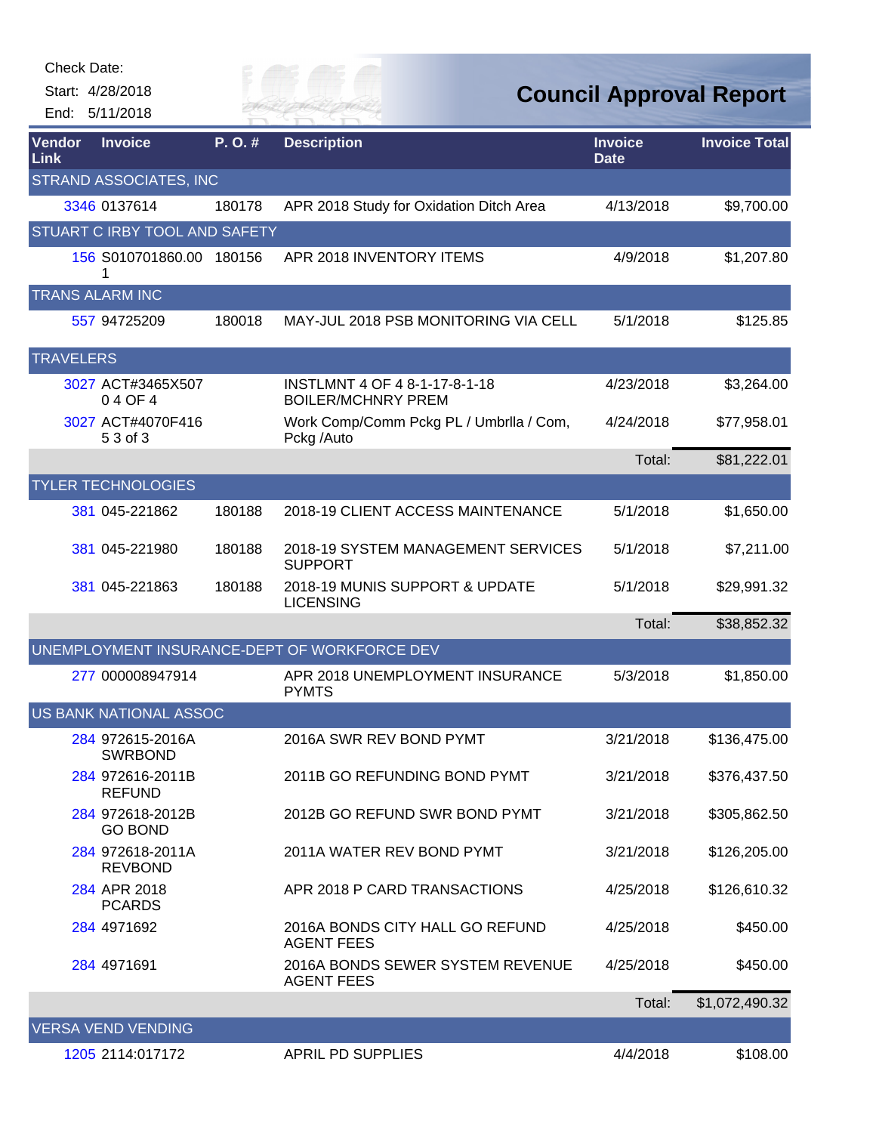| Check Date:           |                                    |        |                                                            |                               |                                |
|-----------------------|------------------------------------|--------|------------------------------------------------------------|-------------------------------|--------------------------------|
|                       | Start: 4/28/2018<br>End: 5/11/2018 |        | R HAI                                                      |                               | <b>Council Approval Report</b> |
| <b>Vendor</b><br>Link | <b>Invoice</b>                     | P.O.#  | <b>Description</b>                                         | <b>Invoice</b><br><b>Date</b> | <b>Invoice Total</b>           |
|                       | <b>STRAND ASSOCIATES, INC</b>      |        |                                                            |                               |                                |
|                       | 3346 0137614                       | 180178 | APR 2018 Study for Oxidation Ditch Area                    | 4/13/2018                     | \$9,700.00                     |
|                       | STUART C IRBY TOOL AND SAFETY      |        |                                                            |                               |                                |
|                       | 156 S010701860.00                  | 180156 | APR 2018 INVENTORY ITEMS                                   | 4/9/2018                      | \$1,207.80                     |
|                       | <b>TRANS ALARM INC</b>             |        |                                                            |                               |                                |
|                       | 557 94725209                       | 180018 | MAY-JUL 2018 PSB MONITORING VIA CELL                       | 5/1/2018                      | \$125.85                       |
| <b>TRAVELERS</b>      |                                    |        |                                                            |                               |                                |
|                       | 3027 ACT#3465X507<br>04 OF 4       |        | INSTLMNT 4 OF 4 8-1-17-8-1-18<br><b>BOILER/MCHNRY PREM</b> | 4/23/2018                     | \$3,264.00                     |
|                       | 3027 ACT#4070F416<br>5 3 of 3      |        | Work Comp/Comm Pckg PL / Umbrila / Com,<br>Pckg /Auto      | 4/24/2018                     | \$77,958.01                    |
|                       |                                    |        |                                                            | Total:                        | \$81,222.01                    |
|                       | <b>TYLER TECHNOLOGIES</b>          |        |                                                            |                               |                                |
|                       | 381 045-221862                     | 180188 | 2018-19 CLIENT ACCESS MAINTENANCE                          | 5/1/2018                      | \$1,650.00                     |
|                       | 381 045-221980                     | 180188 | 2018-19 SYSTEM MANAGEMENT SERVICES<br><b>SUPPORT</b>       | 5/1/2018                      | \$7,211.00                     |
|                       | 381 045-221863                     | 180188 | 2018-19 MUNIS SUPPORT & UPDATE<br><b>LICENSING</b>         | 5/1/2018                      | \$29,991.32                    |
|                       |                                    |        |                                                            | Total:                        | \$38,852.32                    |
|                       |                                    |        | UNEMPLOYMENT INSURANCE-DEPT OF WORKFORCE DEV               |                               |                                |
|                       | 277 000008947914                   |        | APR 2018 UNEMPLOYMENT INSURANCE<br><b>PYMTS</b>            | 5/3/2018                      | \$1,850.00                     |
|                       | <b>US BANK NATIONAL ASSOC</b>      |        |                                                            |                               |                                |
|                       | 284 972615-2016A<br><b>SWRBOND</b> |        | 2016A SWR REV BOND PYMT                                    | 3/21/2018                     | \$136,475.00                   |
|                       | 284 972616-2011B<br><b>REFUND</b>  |        | 2011B GO REFUNDING BOND PYMT                               | 3/21/2018                     | \$376,437.50                   |
|                       | 284 972618-2012B<br><b>GO BOND</b> |        | 2012B GO REFUND SWR BOND PYMT                              | 3/21/2018                     | \$305,862.50                   |
|                       | 284 972618-2011A<br><b>REVBOND</b> |        | 2011A WATER REV BOND PYMT                                  | 3/21/2018                     | \$126,205.00                   |
|                       | 284 APR 2018<br><b>PCARDS</b>      |        | APR 2018 P CARD TRANSACTIONS                               | 4/25/2018                     | \$126,610.32                   |
|                       | 284 4971692                        |        | 2016A BONDS CITY HALL GO REFUND<br><b>AGENT FEES</b>       | 4/25/2018                     | \$450.00                       |
|                       | 284 4971691                        |        | 2016A BONDS SEWER SYSTEM REVENUE<br><b>AGENT FEES</b>      | 4/25/2018                     | \$450.00                       |
|                       |                                    |        |                                                            | Total:                        | \$1,072,490.32                 |
|                       | <b>VERSA VEND VENDING</b>          |        |                                                            |                               |                                |
|                       | 1205 2114:017172                   |        | <b>APRIL PD SUPPLIES</b>                                   | 4/4/2018                      | \$108.00                       |